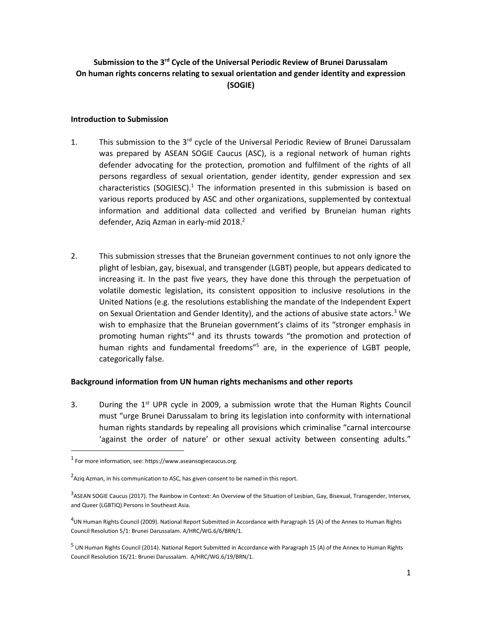# **Submission to the 3rd Cycle of the Universal Periodic Review of Brunei Darussalam On human rights concerns relating to sexual orientation and gender identity and expression (SOGIE)**

#### **Introduction to Submission**

- 1. This submission to the 3<sup>rd</sup> cycle of the Universal Periodic Review of Brunei Darussalam was prepared by ASEAN SOGIE Caucus (ASC), is a regional network of human rights defender advocating for the protection, promotion and fulfilment of the rights of all persons regardless of sexual orientation, gender identity, gender expression and sex characteristics (SOGIESC).<sup>1</sup> The information presented in this submission is based on various reports produced by ASC and other organizations, supplemented by contextual information and additional data collected and verified by Bruneian human rights defender, Aziq Azman in early-mid 2018.<sup>2</sup>
- 2. This submission stresses that the Bruneian government continues to not only ignore the plight of lesbian, gay, bisexual, and transgender (LGBT) people, but appears dedicated to increasing it. In the past five years, they have done this through the perpetuation of volatile domestic legislation, its consistent opposition to inclusive resolutions in the United Nations (e.g. the resolutions establishing the mandate of the Independent Expert on Sexual Orientation and Gender Identity), and the actions of abusive state actors.<sup>3</sup> We wish to emphasize that the Bruneian government's claims of its "stronger emphasis in promoting human rights"<sup>4</sup> and its thrusts towards "the promotion and protection of human rights and fundamental freedoms<sup>"5</sup> are, in the experience of LGBT people, categorically false.

## **Background information from UN human rights mechanisms and other reports**

3. During the  $1<sup>st</sup>$  UPR cycle in 2009, a submission wrote that the Human Rights Council must "urge Brunei Darussalam to bring its legislation into conformity with international human rights standards by repealing all provisions which criminalise "carnal intercourse 'against the order of nature' or other sexual activity between consenting adults."

 $\overline{a}$ 

 $<sup>1</sup>$  For more information, see: https://www.aseansogiecaucus.org.</sup>

 $^{2}$ Aziq Azman, in his communication to ASC, has given consent to be named in this report.

<sup>&</sup>lt;sup>3</sup>ASEAN SOGIE Caucus (2017). The Rainbow in Context: An Overview of the Situation of Lesbian, Gay, Bisexual, Transgender, Intersex, and Queer (LGBTIQ) Persons in Southeast Asia.

<sup>&</sup>lt;sup>4</sup>UN Human Rights Council (2009). National Report Submitted in Accordance with Paragraph 15 (A) of the Annex to Human Rights Council Resolution 5/1: Brunei Darussalam. A/HRC/WG.6/6/BRN/1.

<sup>&</sup>lt;sup>5</sup> UN Human Rights Council (2014). National Report Submitted in Accordance with Paragraph 15 (A) of the Annex to Human Rights Council Resolution 16/21: Brunei Darussalam. A/HRC/WG.6/19/BRN/1.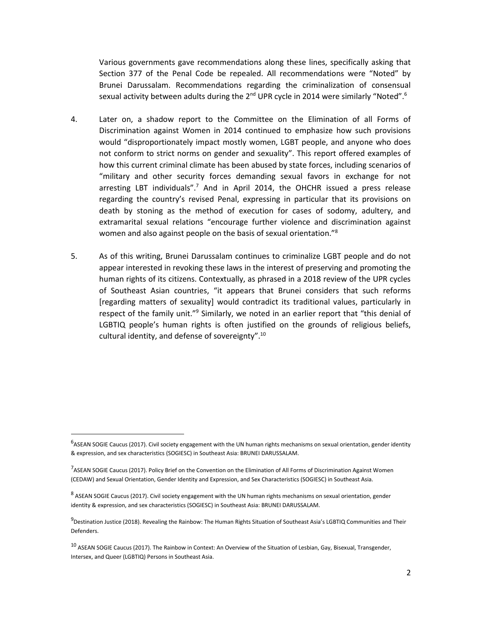Various governments gave recommendations along these lines, specifically asking that Section 377 of the Penal Code be repealed. All recommendations were "Noted" by Brunei Darussalam. Recommendations regarding the criminalization of consensual sexual activity between adults during the  $2<sup>nd</sup>$  UPR cycle in 2014 were similarly "Noted".<sup>6</sup>

- 4. Later on, a shadow report to the Committee on the Elimination of all Forms of Discrimination against Women in 2014 continued to emphasize how such provisions would "disproportionately impact mostly women, LGBT people, and anyone who does not conform to strict norms on gender and sexuality". This report offered examples of how this current criminal climate has been abused by state forces, including scenarios of "military and other security forces demanding sexual favors in exchange for not arresting LBT individuals".<sup>7</sup> And in April 2014, the OHCHR issued a press release regarding the country's revised Penal, expressing in particular that its provisions on death by stoning as the method of execution for cases of sodomy, adultery, and extramarital sexual relations "encourage further violence and discrimination against women and also against people on the basis of sexual orientation."<sup>8</sup>
- 5. As of this writing, Brunei Darussalam continues to criminalize LGBT people and do not appear interested in revoking these laws in the interest of preserving and promoting the human rights of its citizens. Contextually, as phrased in a 2018 review of the UPR cycles of Southeast Asian countries, "it appears that Brunei considers that such reforms [regarding matters of sexuality] would contradict its traditional values, particularly in respect of the family unit."<sup>9</sup> Similarly, we noted in an earlier report that "this denial of LGBTIQ people's human rights is often justified on the grounds of religious beliefs, cultural identity, and defense of sovereignty".<sup>10</sup>

 $\overline{a}$ 

<sup>&</sup>lt;sup>6</sup>ASEAN SOGIE Caucus (2017). Civil society engagement with the UN human rights mechanisms on sexual orientation, gender identity & expression, and sex characteristics (SOGIESC) in Southeast Asia: BRUNEI DARUSSALAM.

<sup>&</sup>lt;sup>7</sup>ASEAN SOGIE Caucus (2017). Policy Brief on the Convention on the Elimination of All Forms of Discrimination Against Women (CEDAW) and Sexual Orientation, Gender Identity and Expression, and Sex Characteristics (SOGIESC) in Southeast Asia.

<sup>&</sup>lt;sup>8</sup> ASEAN SOGIE Caucus (2017). Civil society engagement with the UN human rights mechanisms on sexual orientation, gender identity & expression, and sex characteristics (SOGIESC) in Southeast Asia: BRUNEI DARUSSALAM.

<sup>&</sup>lt;sup>9</sup>Destination Justice (2018). Revealing the Rainbow: The Human Rights Situation of Southeast Asia's LGBTIQ Communities and Their Defenders.

<sup>&</sup>lt;sup>10</sup> ASEAN SOGIE Caucus (2017). The Rainbow in Context: An Overview of the Situation of Lesbian, Gay, Bisexual, Transgender, Intersex, and Queer (LGBTIQ) Persons in Southeast Asia.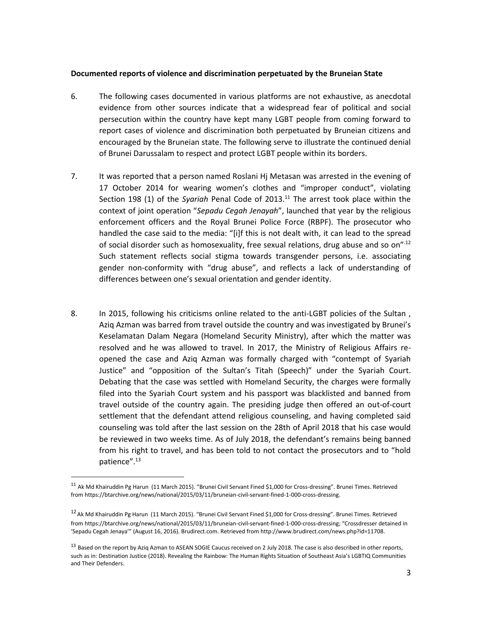#### **Documented reports of violence and discrimination perpetuated by the Bruneian State**

- 6. The following cases documented in various platforms are not exhaustive, as anecdotal evidence from other sources indicate that a widespread fear of political and social persecution within the country have kept many LGBT people from coming forward to report cases of violence and discrimination both perpetuated by Bruneian citizens and encouraged by the Bruneian state. The following serve to illustrate the continued denial of Brunei Darussalam to respect and protect LGBT people within its borders.
- 7. It was reported that a person named Roslani Hj Metasan was arrested in the evening of 17 October 2014 for wearing women's clothes and "improper conduct", violating Section 198 (1) of the *Syariah* Penal Code of 2013.<sup>11</sup> The arrest took place within the context of joint operation "*Sepadu Cegah Jenayah*", launched that year by the religious enforcement officers and the Royal Brunei Police Force (RBPF). The prosecutor who handled the case said to the media: "[i]f this is not dealt with, it can lead to the spread of social disorder such as homosexuality, free sexual relations, drug abuse and so on<sup>".12</sup> Such statement reflects social stigma towards transgender persons, i.e. associating gender non-conformity with "drug abuse", and reflects a lack of understanding of differences between one's sexual orientation and gender identity.
- 8. In 2015, following his criticisms online related to the anti-LGBT policies of the Sultan , Aziq Azman was barred from travel outside the country and was investigated by Brunei's Keselamatan Dalam Negara (Homeland Security Ministry), after which the matter was resolved and he was allowed to travel. In 2017, the Ministry of Religious Affairs reopened the case and Aziq Azman was formally charged with "contempt of Syariah Justice" and "opposition of the Sultan's Titah (Speech)" under the Syariah Court. Debating that the case was settled with Homeland Security, the charges were formally filed into the Syariah Court system and his passport was blacklisted and banned from travel outside of the country again. The presiding judge then offered an out-of-court settlement that the defendant attend religious counseling, and having completed said counseling was told after the last session on the 28th of April 2018 that his case would be reviewed in two weeks time. As of July 2018, the defendant's remains being banned from his right to travel, and has been told to not contact the prosecutors and to "hold patience".<sup>13</sup>

l

 $11$  Ak Md Khairuddin Pg Harun (11 March 2015). "Brunei Civil Servant Fined \$1,000 for Cross-dressing". Brunei Times. Retrieved fro[m https://btarchive.org/news/national/2015/03/11/bruneian-civil-servant-fined-1-000-cross-dressing.](https://btarchive.org/news/national/2015/03/11/bruneian-civil-servant-fined-1-000-cross-dressing)

<sup>&</sup>lt;sup>12</sup> Ak Md Khairuddin Pg Harun (11 March 2015). "Brunei Civil Servant Fined \$1,000 for Cross-dressing". Brunei Times. Retrieved fro[m https://btarchive.org/news/national/2015/03/11/bruneian-civil-servant-fined-1-000-cross-dressing](https://btarchive.org/news/national/2015/03/11/bruneian-civil-servant-fined-1-000-cross-dressing); "Crossdresser detained in 'Sepadu Cegah Jenaya'" (August 16, 2016). Brudirect.com. Retrieved from http://www.brudirect.com/news.php?id=11708.

<sup>&</sup>lt;sup>13</sup> Based on the report by Aziq Azman to ASEAN SOGIE Caucus received on 2 July 2018. The case is also described in other reports, such as in: Destination Justice (2018). Revealing the Rainbow: The Human Rights Situation of Southeast Asia's LGBTIQ Communities and Their Defenders.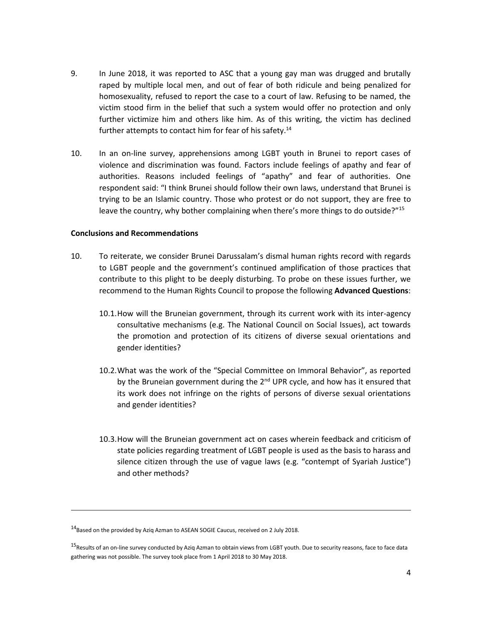- 9. In June 2018, it was reported to ASC that a young gay man was drugged and brutally raped by multiple local men, and out of fear of both ridicule and being penalized for homosexuality, refused to report the case to a court of law. Refusing to be named, the victim stood firm in the belief that such a system would offer no protection and only further victimize him and others like him. As of this writing, the victim has declined further attempts to contact him for fear of his safety.<sup>14</sup>
- 10. In an on-line survey, apprehensions among LGBT youth in Brunei to report cases of violence and discrimination was found. Factors include feelings of apathy and fear of authorities. Reasons included feelings of "apathy" and fear of authorities. One respondent said: "I think Brunei should follow their own laws, understand that Brunei is trying to be an Islamic country. Those who protest or do not support, they are free to leave the country, why bother complaining when there's more things to do outside?"<sup>15</sup>

### **Conclusions and Recommendations**

- 10. To reiterate, we consider Brunei Darussalam's dismal human rights record with regards to LGBT people and the government's continued amplification of those practices that contribute to this plight to be deeply disturbing. To probe on these issues further, we recommend to the Human Rights Council to propose the following **Advanced Questions**:
	- 10.1.How will the Bruneian government, through its current work with its inter-agency consultative mechanisms (e.g. The National Council on Social Issues), act towards the promotion and protection of its citizens of diverse sexual orientations and gender identities?
	- 10.2.What was the work of the "Special Committee on Immoral Behavior", as reported by the Bruneian government during the 2<sup>nd</sup> UPR cycle, and how has it ensured that its work does not infringe on the rights of persons of diverse sexual orientations and gender identities?
	- 10.3.How will the Bruneian government act on cases wherein feedback and criticism of state policies regarding treatment of LGBT people is used as the basis to harass and silence citizen through the use of vague laws (e.g. "contempt of Syariah Justice") and other methods?

l

<sup>&</sup>lt;sup>14</sup> Based on the provided by Aziq Azman to ASEAN SOGIE Caucus, received on 2 July 2018.

<sup>&</sup>lt;sup>15</sup>Results of an on-line survey conducted by Aziq Azman to obtain views from LGBT youth. Due to security reasons, face to face data gathering was not possible. The survey took place from 1 April 2018 to 30 May 2018.